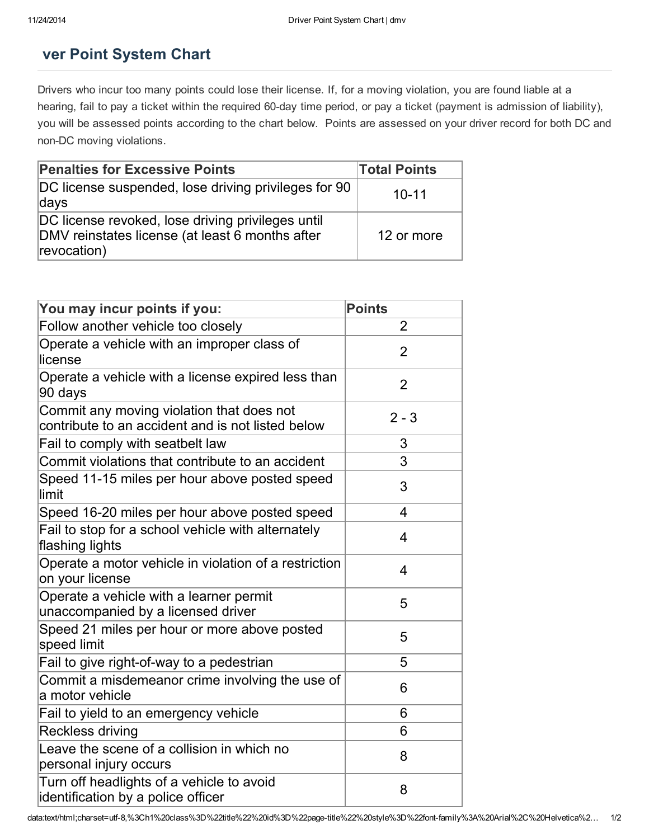## ver Point System Chart

Drivers who incur too many points could lose their license. If, for a moving violation, you are found liable at a hearing, fail to pay a ticket within the required 60-day time period, or pay a ticket (payment is admission of liability), you will be assessed points according to the chart below. Points are assessed on your driver record for both DC and non-DC moving violations.

| <b>Penalties for Excessive Points</b>                                                                               | <b>Total Points</b> |
|---------------------------------------------------------------------------------------------------------------------|---------------------|
| DC license suspended, lose driving privileges for 90<br>days                                                        | $10 - 11$           |
| DC license revoked, lose driving privileges until<br>DMV reinstates license (at least 6 months after<br>revocation) | 12 or more          |

| You may incur points if you:                                                                   | <b>Points</b>  |
|------------------------------------------------------------------------------------------------|----------------|
| Follow another vehicle too closely                                                             | $\overline{2}$ |
| Operate a vehicle with an improper class of<br>license                                         | $\overline{2}$ |
| Operate a vehicle with a license expired less than<br>90 days                                  | $\overline{2}$ |
| Commit any moving violation that does not<br>contribute to an accident and is not listed below | $2 - 3$        |
| Fail to comply with seatbelt law                                                               | 3              |
| Commit violations that contribute to an accident                                               | 3              |
| Speed 11-15 miles per hour above posted speed<br>limit                                         | 3              |
| Speed 16-20 miles per hour above posted speed                                                  | 4              |
| Fail to stop for a school vehicle with alternately<br>flashing lights                          | 4              |
| Operate a motor vehicle in violation of a restriction<br>on your license                       | 4              |
| Operate a vehicle with a learner permit<br>unaccompanied by a licensed driver                  | 5              |
| Speed 21 miles per hour or more above posted<br>speed limit                                    | 5              |
| Fail to give right-of-way to a pedestrian                                                      | 5              |
| Commit a misdemeanor crime involving the use of<br>a motor vehicle                             | 6              |
| Fail to yield to an emergency vehicle                                                          | 6              |
| <b>Reckless driving</b>                                                                        | 6              |
| Leave the scene of a collision in which no<br>personal injury occurs                           | 8              |
| Turn off headlights of a vehicle to avoid<br>identification by a police officer                | 8              |